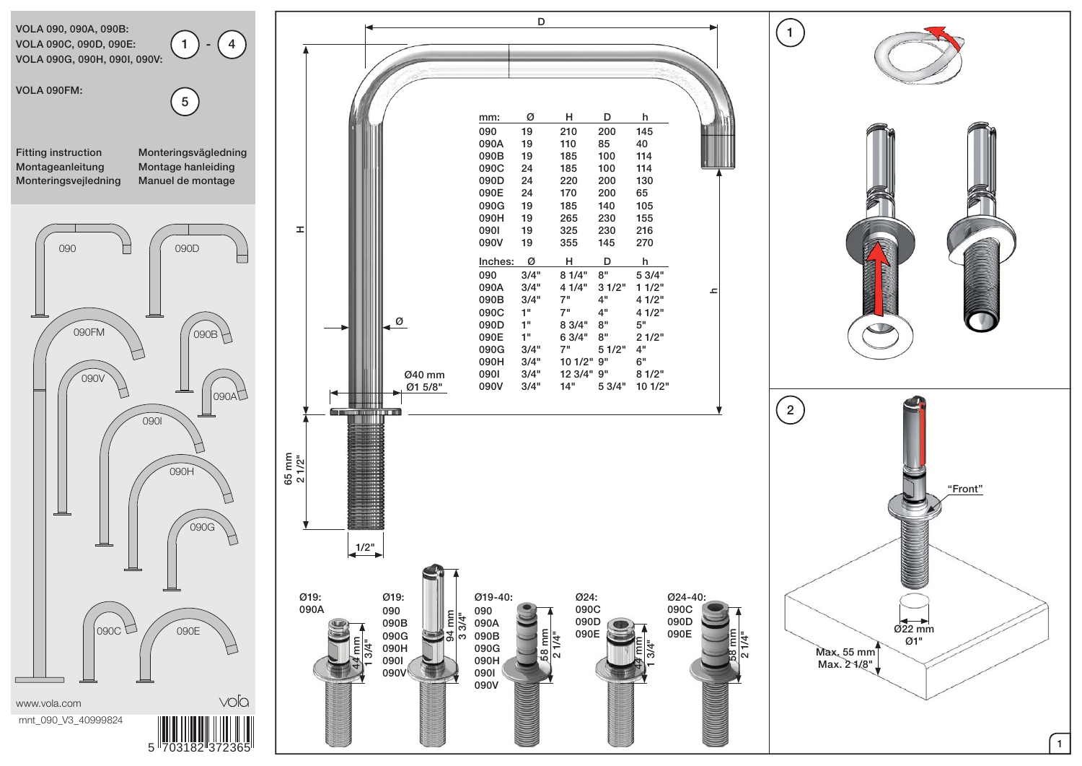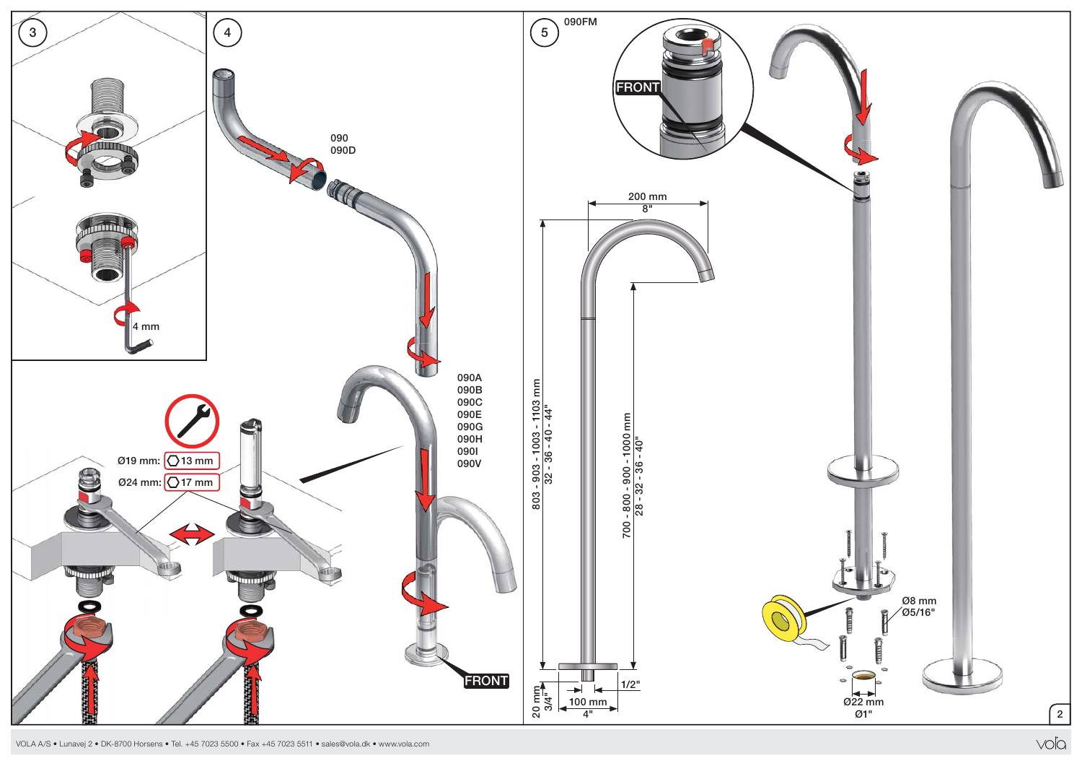